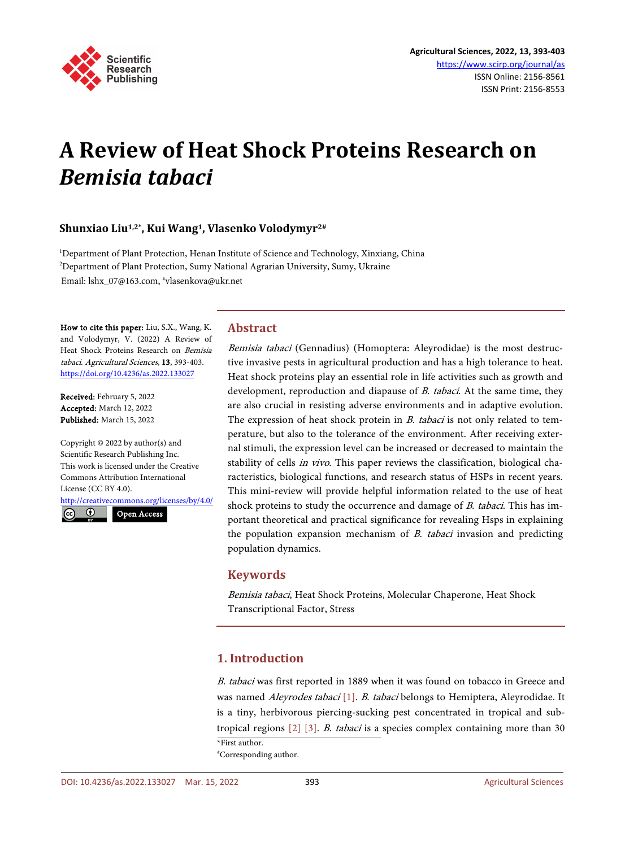

# **A Review of Heat Shock Proteins Research on**  *Bemisia tabaci*

# **Shunxiao Liu1,2\*, Kui Wang1, Vlasenko Volodymyr2#**

<sup>1</sup>Department of Plant Protection, Henan Institute of Science and Technology, Xinxiang, China 2 Department of Plant Protection, Sumy National Agrarian University, Sumy, Ukraine Email: lshx\_07@163.com, #vlasenkova@ukr.net

How to cite this paper: Liu, S.X., Wang, K. and Volodymyr, V. (2022) A Review of Heat Shock Proteins Research on Bemisia tabaci. Agricultural Sciences, 13, 393-403. <https://doi.org/10.4236/as.2022.133027>

Received: February 5, 2022 Accepted: March 12, 2022 Published: March 15, 2022

Copyright © 2022 by author(s) and Scientific Research Publishing Inc. This work is licensed under the Creative Commons Attribution International License (CC BY 4.0).

<http://creativecommons.org/licenses/by/4.0/>

 $\odot$ Open Access

## **Abstract**

Bemisia tabaci (Gennadius) (Homoptera: Aleyrodidae) is the most destructive invasive pests in agricultural production and has a high tolerance to heat. Heat shock proteins play an essential role in life activities such as growth and development, reproduction and diapause of *B. tabaci*. At the same time, they are also crucial in resisting adverse environments and in adaptive evolution. The expression of heat shock protein in  $B$ . tabaci is not only related to temperature, but also to the tolerance of the environment. After receiving external stimuli, the expression level can be increased or decreased to maintain the stability of cells in vivo. This paper reviews the classification, biological characteristics, biological functions, and research status of HSPs in recent years. This mini-review will provide helpful information related to the use of heat shock proteins to study the occurrence and damage of B. tabaci. This has important theoretical and practical significance for revealing Hsps in explaining the population expansion mechanism of  $B$ . tabaci invasion and predicting population dynamics.

#### **Keywords**

Bemisia tabaci, Heat Shock Proteins, Molecular Chaperone, Heat Shock Transcriptional Factor, Stress

# **1. Introduction**

<sup>B</sup>. tabaci was first reported in 1889 when it was found on tobacco in Greece and was named *Aleyrodes tabaci* [\[1\].](#page-4-0) *B. tabaci* belongs to Hemiptera, Aleyrodidae. It is a tiny, herbivorous piercing-sucking pest concentrated in tropical and subtropical regions [\[2\]](#page-4-1) [\[3\].](#page-5-0) <sup>B</sup>. tabaci is a species complex containing more than 30 \*First author. # Corresponding author.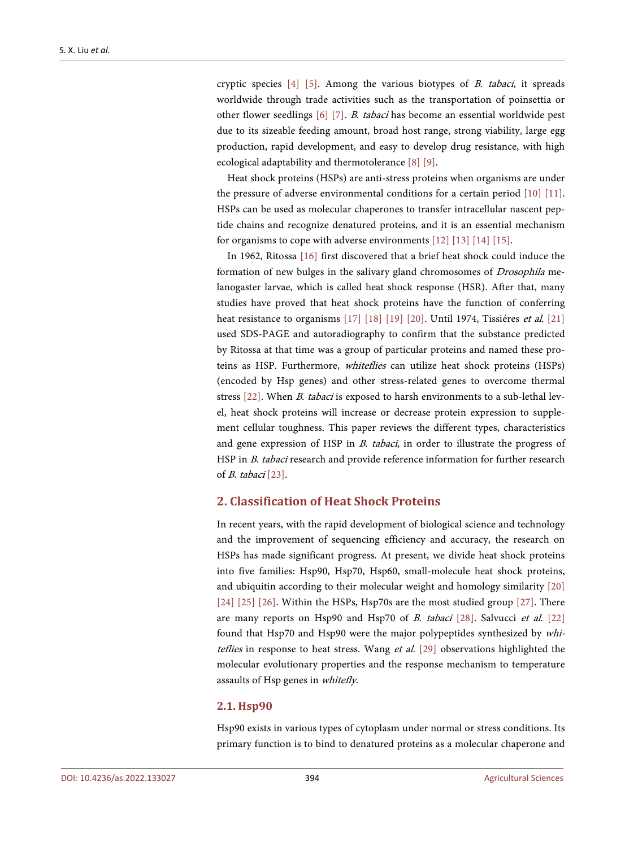cryptic species  $[4]$  [\[5\].](#page-5-2) Among the various biotypes of *B. tabaci*, it spreads worldwide through trade activities such as the transportation of poinsettia or other flower seedlings [\[6\]](#page-5-3) [\[7\].](#page-5-4) <sup>B</sup>. tabaci has become an essential worldwide pest due to its sizeable feeding amount, broad host range, strong viability, large egg production, rapid development, and easy to develop drug resistance, with high ecological adaptability and thermotolerance [\[8\]](#page-5-5) [\[9\].](#page-5-6)

Heat shock proteins (HSPs) are anti-stress proteins when organisms are under the pressure of adverse environmental conditions for a certain period [\[10\]](#page-5-7) [\[11\].](#page-5-8) HSPs can be used as molecular chaperones to transfer intracellular nascent peptide chains and recognize denatured proteins, and it is an essential mechanism for organisms to cope with adverse environments [\[12\]](#page-5-9) [\[13\]](#page-5-10) [\[14\]](#page-5-11) [\[15\].](#page-5-12)

In 1962, Ritossa [\[16\]](#page-5-13) first discovered that a brief heat shock could induce the formation of new bulges in the salivary gland chromosomes of Drosophila melanogaster larvae, which is called heat shock response (HSR). After that, many studies have proved that heat shock proteins have the function of conferring heat resistance to organisms [\[17\]](#page-5-14) [\[18\]](#page-6-0) [\[19\]](#page-6-1) [\[20\].](#page-6-2) Until 1974, Tissiéres et al. [\[21\]](#page-6-3) used SDS-PAGE and autoradiography to confirm that the substance predicted by Ritossa at that time was a group of particular proteins and named these proteins as HSP. Furthermore, whiteflies can utilize heat shock proteins (HSPs) (encoded by Hsp genes) and other stress-related genes to overcome thermal stress [\[22\].](#page-6-4) When B. tabaci is exposed to harsh environments to a sub-lethal level, heat shock proteins will increase or decrease protein expression to supplement cellular toughness. This paper reviews the different types, characteristics and gene expression of HSP in *B. tabaci*, in order to illustrate the progress of HSP in *B. tabaci* research and provide reference information for further research of B. tabaci [\[23\].](#page-6-5)

## **2. Classification of Heat Shock Proteins**

In recent years, with the rapid development of biological science and technology and the improvement of sequencing efficiency and accuracy, the research on HSPs has made significant progress. At present, we divide heat shock proteins into five families: Hsp90, Hsp70, Hsp60, small-molecule heat shock proteins, and ubiquitin according to their molecular weight and homology similarity [\[20\]](#page-6-2) [\[24\]](#page-6-6) [\[25\]](#page-6-7) [\[26\].](#page-6-8) Within the HSPs, Hsp70s are the most studied group [\[27\].](#page-6-9) There are many reports on Hsp90 and Hsp70 of *B. tabaci* [\[28\].](#page-6-10) Salvucci et al. [\[22\]](#page-6-4) found that Hsp70 and Hsp90 were the major polypeptides synthesized by whiteflies in response to heat stress. Wang et al. [\[29\]](#page-6-11) observations highlighted the molecular evolutionary properties and the response mechanism to temperature assaults of Hsp genes in whitefly.

#### **2.1. Hsp90**

Hsp90 exists in various types of cytoplasm under normal or stress conditions. Its primary function is to bind to denatured proteins as a molecular chaperone and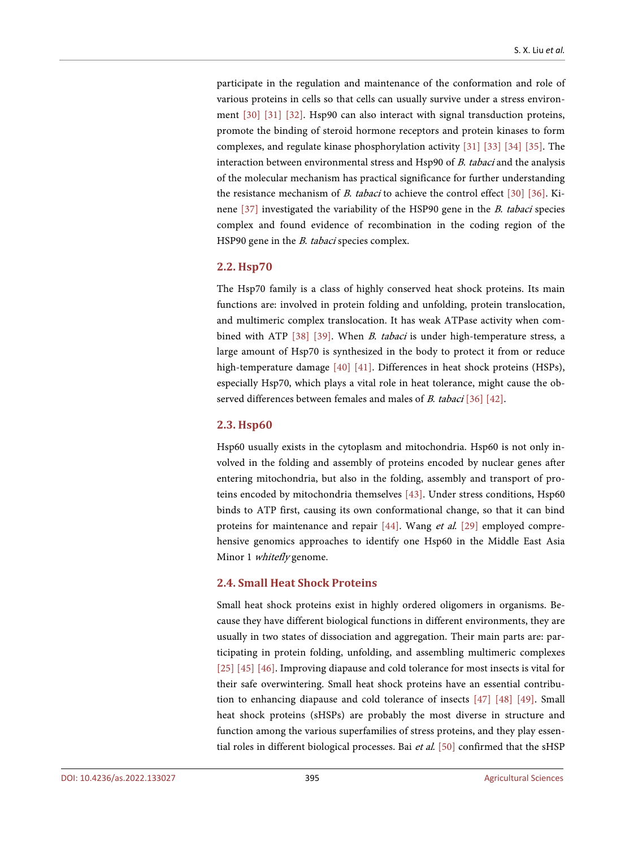participate in the regulation and maintenance of the conformation and role of various proteins in cells so that cells can usually survive under a stress environment [\[30\]](#page-6-12) [\[31\]](#page-6-13) [\[32\].](#page-6-14) Hsp90 can also interact with signal transduction proteins, promote the binding of steroid hormone receptors and protein kinases to form complexes, and regulate kinase phosphorylation activity [\[31\]](#page-6-13) [\[33\]](#page-7-0) [\[34\]](#page-7-1) [\[35\].](#page-7-2) The interaction between environmental stress and Hsp90 of B. tabaci and the analysis of the molecular mechanism has practical significance for further understanding the resistance mechanism of B. tabaci to achieve the control effect [\[30\]](#page-6-12) [\[36\].](#page-7-3) Kinene [\[37\]](#page-7-4) investigated the variability of the HSP90 gene in the B. tabaci species complex and found evidence of recombination in the coding region of the HSP90 gene in the *B. tabaci* species complex.

#### **2.2. Hsp70**

The Hsp70 family is a class of highly conserved heat shock proteins. Its main functions are: involved in protein folding and unfolding, protein translocation, and multimeric complex translocation. It has weak ATPase activity when com-bined with ATP [\[38\]](#page-7-5) [\[39\].](#page-7-6) When *B. tabaci* is under high-temperature stress, a large amount of Hsp70 is synthesized in the body to protect it from or reduce high-temperature damage [\[40\]](#page-7-7) [\[41\].](#page-7-8) Differences in heat shock proteins (HSPs), especially Hsp70, which plays a vital role in heat tolerance, might cause the observed differences between females and males of *B. tabaci* [\[36\]](#page-7-3) [\[42\].](#page-7-9)

#### **2.3. Hsp60**

Hsp60 usually exists in the cytoplasm and mitochondria. Hsp60 is not only involved in the folding and assembly of proteins encoded by nuclear genes after entering mitochondria, but also in the folding, assembly and transport of proteins encoded by mitochondria themselves [\[43\].](#page-7-10) Under stress conditions, Hsp60 binds to ATP first, causing its own conformational change, so that it can bind proteins for maintenance and repair [\[44\].](#page-7-11) Wang et al. [\[29\]](#page-6-11) employed comprehensive genomics approaches to identify one Hsp60 in the Middle East Asia Minor 1 whitefly genome.

#### **2.4. Small Heat Shock Proteins**

Small heat shock proteins exist in highly ordered oligomers in organisms. Because they have different biological functions in different environments, they are usually in two states of dissociation and aggregation. Their main parts are: participating in protein folding, unfolding, and assembling multimeric complexes [\[25\]](#page-6-7) [\[45\]](#page-7-12) [\[46\].](#page-7-13) Improving diapause and cold tolerance for most insects is vital for their safe overwintering. Small heat shock proteins have an essential contribution to enhancing diapause and cold tolerance of insects [\[47\]](#page-7-14) [\[48\]](#page-7-15) [\[49\].](#page-8-0) Small heat shock proteins (sHSPs) are probably the most diverse in structure and function among the various superfamilies of stress proteins, and they play essential roles in different biological processes. Bai et al. [\[50\]](#page-8-1) confirmed that the sHSP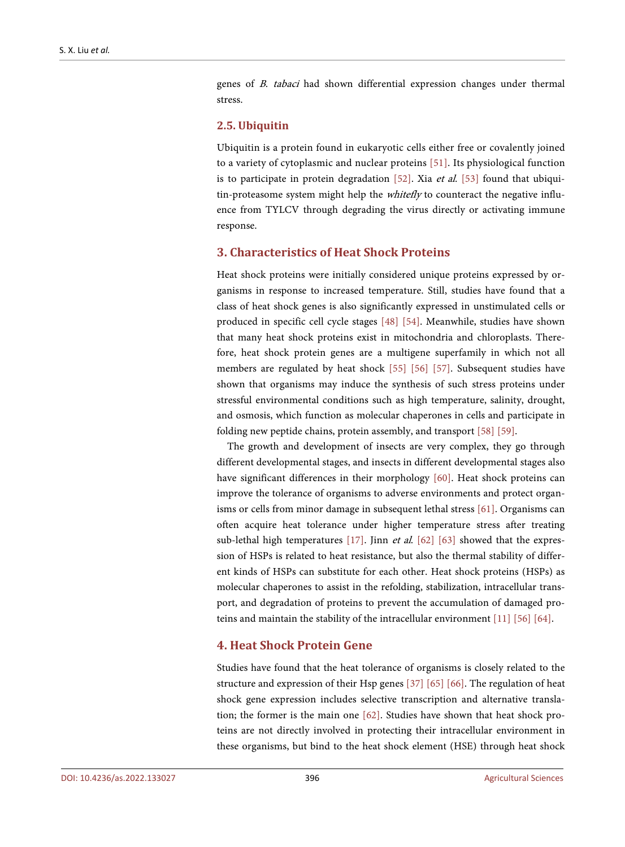genes of <sup>B</sup>. tabaci had shown differential expression changes under thermal stress.

#### **2.5. Ubiquitin**

Ubiquitin is a protein found in eukaryotic cells either free or covalently joined to a variety of cytoplasmic and nuclear proteins [\[51\].](#page-8-2) Its physiological function is to participate in protein degradation  $[52]$ . Xia et al.  $[53]$  found that ubiquitin-proteasome system might help the whitefly to counteract the negative influence from TYLCV through degrading the virus directly or activating immune response.

#### **3. Characteristics of Heat Shock Proteins**

Heat shock proteins were initially considered unique proteins expressed by organisms in response to increased temperature. Still, studies have found that a class of heat shock genes is also significantly expressed in unstimulated cells or produced in specific cell cycle stages [\[48\]](#page-7-15) [\[54\].](#page-8-5) Meanwhile, studies have shown that many heat shock proteins exist in mitochondria and chloroplasts. Therefore, heat shock protein genes are a multigene superfamily in which not all members are regulated by heat shock [\[55\]](#page-8-6) [\[56\]](#page-8-7) [\[57\].](#page-8-8) Subsequent studies have shown that organisms may induce the synthesis of such stress proteins under stressful environmental conditions such as high temperature, salinity, drought, and osmosis, which function as molecular chaperones in cells and participate in folding new peptide chains, protein assembly, and transport [\[58\]](#page-8-9) [\[59\].](#page-8-10)

The growth and development of insects are very complex, they go through different developmental stages, and insects in different developmental stages also have significant differences in their morphology [\[60\].](#page-8-11) Heat shock proteins can improve the tolerance of organisms to adverse environments and protect organisms or cells from minor damage in subsequent lethal stress [\[61\].](#page-8-12) Organisms can often acquire heat tolerance under higher temperature stress after treating sub-lethal high temperatures [\[17\].](#page-5-14) Jinn et al. [\[62\]](#page-9-0) [\[63\]](#page-9-1) showed that the expression of HSPs is related to heat resistance, but also the thermal stability of different kinds of HSPs can substitute for each other. Heat shock proteins (HSPs) as molecular chaperones to assist in the refolding, stabilization, intracellular transport, and degradation of proteins to prevent the accumulation of damaged proteins and maintain the stability of the intracellular environment [\[11\]](#page-5-8) [\[56\]](#page-8-7) [\[64\].](#page-9-2)

### **4. Heat Shock Protein Gene**

Studies have found that the heat tolerance of organisms is closely related to the structure and expression of their Hsp genes [\[37\]](#page-7-4) [\[65\]](#page-9-3) [\[66\].](#page-9-4) The regulation of heat shock gene expression includes selective transcription and alternative translation; the former is the main one [\[62\].](#page-9-0) Studies have shown that heat shock proteins are not directly involved in protecting their intracellular environment in these organisms, but bind to the heat shock element (HSE) through heat shock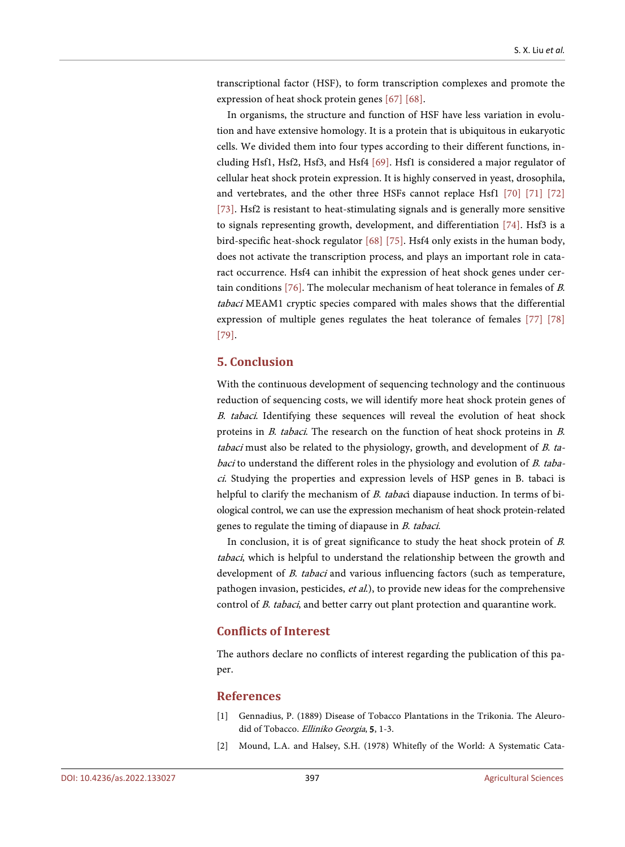transcriptional factor (HSF), to form transcription complexes and promote the expression of heat shock protein genes [\[67\]](#page-9-5) [\[68\].](#page-9-6)

In organisms, the structure and function of HSF have less variation in evolution and have extensive homology. It is a protein that is ubiquitous in eukaryotic cells. We divided them into four types according to their different functions, including Hsf1, Hsf2, Hsf3, and Hsf4 [\[69\].](#page-9-7) Hsf1 is considered a major regulator of cellular heat shock protein expression. It is highly conserved in yeast, drosophila, and vertebrates, and the other three HSFs cannot replace Hsf1 [\[70\]](#page-9-8) [\[71\]](#page-9-9) [\[72\]](#page-9-10) [\[73\].](#page-9-11) Hsf2 is resistant to heat-stimulating signals and is generally more sensitive to signals representing growth, development, and differentiation [\[74\].](#page-9-12) Hsf3 is a bird-specific heat-shock regulator [\[68\]](#page-9-6) [\[75\].](#page-9-13) Hsf4 only exists in the human body, does not activate the transcription process, and plays an important role in cataract occurrence. Hsf4 can inhibit the expression of heat shock genes under certain conditions [\[76\].](#page-10-0) The molecular mechanism of heat tolerance in females of B. tabaci MEAM1 cryptic species compared with males shows that the differential expression of multiple genes regulates the heat tolerance of females [\[77\]](#page-10-1) [\[78\]](#page-10-2) [\[79\].](#page-10-3)

# **5. Conclusion**

With the continuous development of sequencing technology and the continuous reduction of sequencing costs, we will identify more heat shock protein genes of <sup>B</sup>. tabaci. Identifying these sequences will reveal the evolution of heat shock proteins in B. tabaci. The research on the function of heat shock proteins in B. tabaci must also be related to the physiology, growth, and development of  $B$ . tabaci to understand the different roles in the physiology and evolution of B. tabaci. Studying the properties and expression levels of HSP genes in B. tabaci is helpful to clarify the mechanism of B. tabaci diapause induction. In terms of biological control, we can use the expression mechanism of heat shock protein-related genes to regulate the timing of diapause in B. tabaci.

In conclusion, it is of great significance to study the heat shock protein of B. tabaci, which is helpful to understand the relationship between the growth and development of *B. tabaci* and various influencing factors (such as temperature, pathogen invasion, pesticides, et al.), to provide new ideas for the comprehensive control of *B. tabaci*, and better carry out plant protection and quarantine work.

#### **Conflicts of Interest**

The authors declare no conflicts of interest regarding the publication of this paper.

#### **References**

- <span id="page-4-0"></span>[1] Gennadius, P. (1889) Disease of Tobacco Plantations in the Trikonia. The Aleurodid of Tobacco. Elliniko Georgia, 5, 1-3.
- <span id="page-4-1"></span>[2] Mound, L.A. and Halsey, S.H. (1978) Whitefly of the World: A Systematic Cata-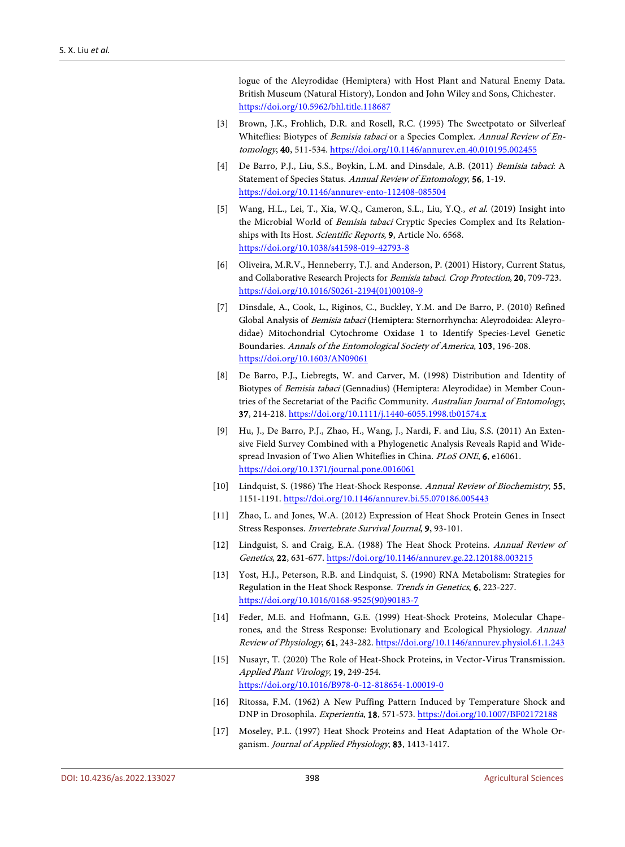logue of the Aleyrodidae (Hemiptera) with Host Plant and Natural Enemy Data. British Museum (Natural History), London and John Wiley and Sons, Chichester. <https://doi.org/10.5962/bhl.title.118687>

- <span id="page-5-0"></span>[3] Brown, J.K., Frohlich, D.R. and Rosell, R.C. (1995) The Sweetpotato or Silverleaf Whiteflies: Biotypes of Bemisia tabaci or a Species Complex. Annual Review of Entomology, 40, 511-534. <https://doi.org/10.1146/annurev.en.40.010195.002455>
- <span id="page-5-1"></span>[4] De Barro, P.J., Liu, S.S., Boykin, L.M. and Dinsdale, A.B. (2011) Bemisia tabaci: A Statement of Species Status. Annual Review of Entomology, 56, 1-19. <https://doi.org/10.1146/annurev-ento-112408-085504>
- <span id="page-5-2"></span>[5] Wang, H.L., Lei, T., Xia, W.Q., Cameron, S.L., Liu, Y.Q., et al. (2019) Insight into the Microbial World of Bemisia tabaci Cryptic Species Complex and Its Relationships with Its Host. Scientific Reports, 9, Article No. 6568. <https://doi.org/10.1038/s41598-019-42793-8>
- <span id="page-5-3"></span>[6] Oliveira, M.R.V., Henneberry, T.J. and Anderson, P. (2001) History, Current Status, and Collaborative Research Projects for Bemisia tabaci. Crop Protection, 20, 709-723. [https://doi.org/10.1016/S0261-2194\(01\)00108-9](https://doi.org/10.1016/S0261-2194(01)00108-9)
- <span id="page-5-4"></span>[7] Dinsdale, A., Cook, L., Riginos, C., Buckley, Y.M. and De Barro, P. (2010) Refined Global Analysis of Bemisia tabaci (Hemiptera: Sternorrhyncha: Aleyrodoidea: Aleyrodidae) Mitochondrial Cytochrome Oxidase 1 to Identify Species-Level Genetic Boundaries. Annals of the Entomological Society of America, 103, 196-208. <https://doi.org/10.1603/AN09061>
- <span id="page-5-5"></span>[8] De Barro, P.J., Liebregts, W. and Carver, M. (1998) Distribution and Identity of Biotypes of Bemisia tabaci (Gennadius) (Hemiptera: Aleyrodidae) in Member Countries of the Secretariat of the Pacific Community. Australian Journal of Entomology, 37, 214-218. <https://doi.org/10.1111/j.1440-6055.1998.tb01574.x>
- <span id="page-5-6"></span>[9] Hu, J., De Barro, P.J., Zhao, H., Wang, J., Nardi, F. and Liu, S.S. (2011) An Extensive Field Survey Combined with a Phylogenetic Analysis Reveals Rapid and Widespread Invasion of Two Alien Whiteflies in China. PLoS ONE, 6, e16061. <https://doi.org/10.1371/journal.pone.0016061>
- <span id="page-5-7"></span>[10] Lindquist, S. (1986) The Heat-Shock Response. Annual Review of Biochemistry, 55, 1151-1191. <https://doi.org/10.1146/annurev.bi.55.070186.005443>
- <span id="page-5-8"></span>[11] Zhao, L. and Jones, W.A. (2012) Expression of Heat Shock Protein Genes in Insect Stress Responses. Invertebrate Survival Journal, 9, 93-101.
- <span id="page-5-9"></span>[12] Lindguist, S. and Craig, E.A. (1988) The Heat Shock Proteins. Annual Review of Genetics, 22, 631-677. <https://doi.org/10.1146/annurev.ge.22.120188.003215>
- <span id="page-5-10"></span>[13] Yost, H.J., Peterson, R.B. and Lindquist, S. (1990) RNA Metabolism: Strategies for Regulation in the Heat Shock Response. Trends in Genetics, 6, 223-227. [https://doi.org/10.1016/0168-9525\(90\)90183-7](https://doi.org/10.1016/0168-9525(90)90183-7)
- <span id="page-5-11"></span>[14] Feder, M.E. and Hofmann, G.E. (1999) Heat-Shock Proteins, Molecular Chaperones, and the Stress Response: Evolutionary and Ecological Physiology. Annual Review of Physiology, 61, 243-282. <https://doi.org/10.1146/annurev.physiol.61.1.243>
- <span id="page-5-12"></span>[15] Nusayr, T. (2020) The Role of Heat-Shock Proteins, in Vector-Virus Transmission. Applied Plant Virology, 19, 249-254. <https://doi.org/10.1016/B978-0-12-818654-1.00019-0>
- <span id="page-5-13"></span>[16] Ritossa, F.M. (1962) A New Puffing Pattern Induced by Temperature Shock and DNP in Drosophila. Experientia, 18, 571-573. <https://doi.org/10.1007/BF02172188>
- <span id="page-5-14"></span>[17] Moseley, P.L. (1997) Heat Shock Proteins and Heat Adaptation of the Whole Organism. Journal of Applied Physiology, 83, 1413-1417.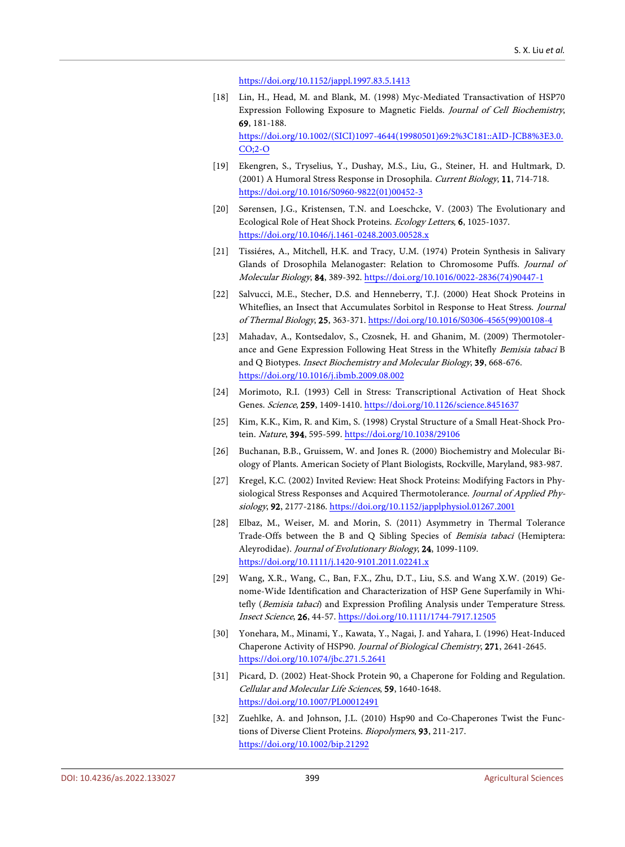<https://doi.org/10.1152/jappl.1997.83.5.1413>

- <span id="page-6-0"></span>[18] Lin, H., Head, M. and Blank, M. (1998) Myc-Mediated Transactivation of HSP70 Expression Following Exposure to Magnetic Fields. Journal of Cell Biochemistry, 69, 181-188. [https://doi.org/10.1002/\(SICI\)1097-4644\(19980501\)69:2%3C181::AID-JCB8%3E3.0.](https://doi.org/10.1002/(SICI)1097-4644(19980501)69:2%3C181::AID-JCB8%3E3.0.CO;2-O) [CO;2-O](https://doi.org/10.1002/(SICI)1097-4644(19980501)69:2%3C181::AID-JCB8%3E3.0.CO;2-O)
- <span id="page-6-1"></span>[19] Ekengren, S., Tryselius, Y., Dushay, M.S., Liu, G., Steiner, H. and Hultmark, D. (2001) A Humoral Stress Response in Drosophila. Current Biology, 11, 714-718. [https://doi.org/10.1016/S0960-9822\(01\)00452-3](https://doi.org/10.1016/S0960-9822(01)00452-3)
- <span id="page-6-2"></span>[20] Sørensen, J.G., Kristensen, T.N. and Loeschcke, V. (2003) The Evolutionary and Ecological Role of Heat Shock Proteins. Ecology Letters, 6, 1025-1037. <https://doi.org/10.1046/j.1461-0248.2003.00528.x>
- <span id="page-6-3"></span>[21] Tissiéres, A., Mitchell, H.K. and Tracy, U.M. (1974) Protein Synthesis in Salivary Glands of Drosophila Melanogaster: Relation to Chromosome Puffs. Journal of Molecular Biology, 84, 389-392. [https://doi.org/10.1016/0022-2836\(74\)90447-1](https://doi.org/10.1016/0022-2836(74)90447-1)
- <span id="page-6-4"></span>[22] Salvucci, M.E., Stecher, D.S. and Henneberry, T.J. (2000) Heat Shock Proteins in Whiteflies, an Insect that Accumulates Sorbitol in Response to Heat Stress. Journal of Thermal Biology, 25, 363-371. [https://doi.org/10.1016/S0306-4565\(99\)00108-4](https://doi.org/10.1016/S0306-4565(99)00108-4)
- <span id="page-6-5"></span>[23] Mahadav, A., Kontsedalov, S., Czosnek, H. and Ghanim, M. (2009) Thermotolerance and Gene Expression Following Heat Stress in the Whitefly Bemisia tabaci B and Q Biotypes. Insect Biochemistry and Molecular Biology, 39, 668-676. <https://doi.org/10.1016/j.ibmb.2009.08.002>
- <span id="page-6-6"></span>[24] Morimoto, R.I. (1993) Cell in Stress: Transcriptional Activation of Heat Shock Genes. Science, 259, 1409-1410. <https://doi.org/10.1126/science.8451637>
- <span id="page-6-7"></span>[25] Kim, K.K., Kim, R. and Kim, S. (1998) Crystal Structure of a Small Heat-Shock Protein. Nature, 394, 595-599. <https://doi.org/10.1038/29106>
- <span id="page-6-8"></span>[26] Buchanan, B.B., Gruissem, W. and Jones R. (2000) Biochemistry and Molecular Biology of Plants. American Society of Plant Biologists, Rockville, Maryland, 983-987.
- <span id="page-6-9"></span>[27] Kregel, K.C. (2002) Invited Review: Heat Shock Proteins: Modifying Factors in Physiological Stress Responses and Acquired Thermotolerance. Journal of Applied Physiology, 92, 2177-2186. <https://doi.org/10.1152/japplphysiol.01267.2001>
- <span id="page-6-10"></span>[28] Elbaz, M., Weiser, M. and Morin, S. (2011) Asymmetry in Thermal Tolerance Trade-Offs between the B and Q Sibling Species of Bemisia tabaci (Hemiptera: Aleyrodidae). Journal of Evolutionary Biology, 24, 1099-1109. <https://doi.org/10.1111/j.1420-9101.2011.02241.x>
- <span id="page-6-11"></span>[29] Wang, X.R., Wang, C., Ban, F.X., Zhu, D.T., Liu, S.S. and Wang X.W. (2019) Genome-Wide Identification and Characterization of HSP Gene Superfamily in Whitefly (Bemisia tabaci) and Expression Profiling Analysis under Temperature Stress. Insect Science, 26, 44-57. <https://doi.org/10.1111/1744-7917.12505>
- <span id="page-6-12"></span>[30] Yonehara, M., Minami, Y., Kawata, Y., Nagai, J. and Yahara, I. (1996) Heat-Induced Chaperone Activity of HSP90. Journal of Biological Chemistry, 271, 2641-2645. <https://doi.org/10.1074/jbc.271.5.2641>
- <span id="page-6-13"></span>[31] Picard, D. (2002) Heat-Shock Protein 90, a Chaperone for Folding and Regulation. Cellular and Molecular Life Sciences, 59, 1640-1648. <https://doi.org/10.1007/PL00012491>
- <span id="page-6-14"></span>[32] Zuehlke, A. and Johnson, J.L. (2010) Hsp90 and Co-Chaperones Twist the Functions of Diverse Client Proteins. Biopolymers, 93, 211-217. <https://doi.org/10.1002/bip.21292>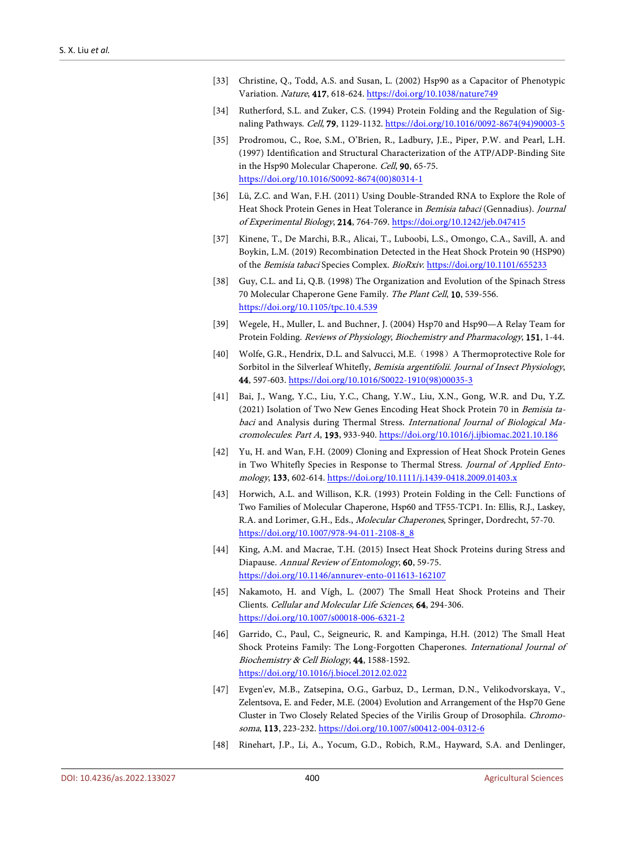- <span id="page-7-0"></span>[33] Christine, Q., Todd, A.S. and Susan, L. (2002) Hsp90 as a Capacitor of Phenotypic Variation. Nature, 417, 618-624. <https://doi.org/10.1038/nature749>
- <span id="page-7-1"></span>[34] Rutherford, S.L. and Zuker, C.S. (1994) Protein Folding and the Regulation of Signaling Pathways. Cell, 79, 1129-1132. [https://doi.org/10.1016/0092-8674\(94\)90003-5](https://doi.org/10.1016/0092-8674(94)90003-5)
- <span id="page-7-2"></span>[35] Prodromou, C., Roe, S.M., O'Brien, R., Ladbury, J.E., Piper, P.W. and Pearl, L.H. (1997) Identification and Structural Characterization of the ATP/ADP-Binding Site in the Hsp90 Molecular Chaperone. Cell, 90, 65-75. [https://doi.org/10.1016/S0092-8674\(00\)80314-1](https://doi.org/10.1016/S0092-8674(00)80314-1)
- <span id="page-7-3"></span>[36] Lü, Z.C. and Wan, F.H. (2011) Using Double-Stranded RNA to Explore the Role of Heat Shock Protein Genes in Heat Tolerance in Bemisia tabaci (Gennadius). Journal of Experimental Biology, 214, 764-769. <https://doi.org/10.1242/jeb.047415>
- <span id="page-7-4"></span>[37] Kinene, T., De Marchi, B.R., Alicai, T., Luboobi, L.S., Omongo, C.A., Savill, A. and Boykin, L.M. (2019) Recombination Detected in the Heat Shock Protein 90 (HSP90) of the Bemisia tabaci Species Complex. BioRxiv. <https://doi.org/10.1101/655233>
- <span id="page-7-5"></span>[38] Guy, C.L. and Li, Q.B. (1998) The Organization and Evolution of the Spinach Stress 70 Molecular Chaperone Gene Family. The Plant Cell, 10, 539-556. <https://doi.org/10.1105/tpc.10.4.539>
- <span id="page-7-6"></span>[39] Wegele, H., Muller, L. and Buchner, J. (2004) Hsp70 and Hsp90—A Relay Team for Protein Folding. Reviews of Physiology, Biochemistry and Pharmacology, 151, 1-44.
- <span id="page-7-7"></span>[40] Wolfe, G.R., Hendrix, D.L. and Salvucci, M.E. (1998) A Thermoprotective Role for Sorbitol in the Silverleaf Whitefly, Bemisia argentifolii. Journal of Insect Physiology, 44, 597-603. [https://doi.org/10.1016/S0022-1910\(98\)00035-3](https://doi.org/10.1016/S0022-1910(98)00035-3)
- <span id="page-7-8"></span>[41] Bai, J., Wang, Y.C., Liu, Y.C., Chang, Y.W., Liu, X.N., Gong, W.R. and Du, Y.Z. (2021) Isolation of Two New Genes Encoding Heat Shock Protein 70 in Bemisia tabaci and Analysis during Thermal Stress. International Journal of Biological Macromolecules: Part A, 193, 933-940. <https://doi.org/10.1016/j.ijbiomac.2021.10.186>
- <span id="page-7-9"></span>[42] Yu, H. and Wan, F.H. (2009) Cloning and Expression of Heat Shock Protein Genes in Two Whitefly Species in Response to Thermal Stress. Journal of Applied Entomology, 133, 602-614. <https://doi.org/10.1111/j.1439-0418.2009.01403.x>
- <span id="page-7-10"></span>[43] Horwich, A.L. and Willison, K.R. (1993) Protein Folding in the Cell: Functions of Two Families of Molecular Chaperone, Hsp60 and TF55-TCP1. In: Ellis, R.J., Laskey, R.A. and Lorimer, G.H., Eds., Molecular Chaperones, Springer, Dordrecht, 57-70. [https://doi.org/10.1007/978-94-011-2108-8\\_8](https://doi.org/10.1007/978-94-011-2108-8_8)
- <span id="page-7-11"></span>[44] King, A.M. and Macrae, T.H. (2015) Insect Heat Shock Proteins during Stress and Diapause. Annual Review of Entomology, 60, 59-75. <https://doi.org/10.1146/annurev-ento-011613-162107>
- <span id="page-7-12"></span>[45] Nakamoto, H. and Vígh, L. (2007) The Small Heat Shock Proteins and Their Clients. Cellular and Molecular Life Sciences, 64, 294-306. <https://doi.org/10.1007/s00018-006-6321-2>
- <span id="page-7-13"></span>[46] Garrido, C., Paul, C., Seigneuric, R. and Kampinga, H.H. (2012) The Small Heat Shock Proteins Family: The Long-Forgotten Chaperones. International Journal of Biochemistry & Cell Biology, 44, 1588-1592. <https://doi.org/10.1016/j.biocel.2012.02.022>
- <span id="page-7-14"></span>[47] Evgen'ev, M.B., Zatsepina, O.G., Garbuz, D., Lerman, D.N., Velikodvorskaya, V., Zelentsova, E. and Feder, M.E. (2004) Evolution and Arrangement of the Hsp70 Gene Cluster in Two Closely Related Species of the Virilis Group of Drosophila. Chromosoma, 113, 223-232. <https://doi.org/10.1007/s00412-004-0312-6>
- <span id="page-7-15"></span>[48] Rinehart, J.P., Li, A., Yocum, G.D., Robich, R.M., Hayward, S.A. and Denlinger,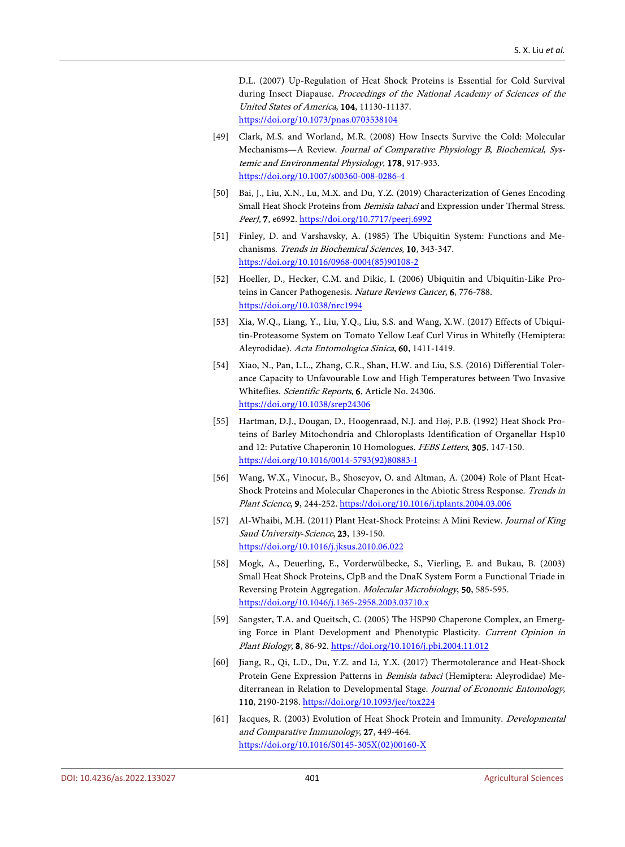D.L. (2007) Up-Regulation of Heat Shock Proteins is Essential for Cold Survival during Insect Diapause. Proceedings of the National Academy of Sciences of the United States of America, 104, 11130-11137. <https://doi.org/10.1073/pnas.0703538104>

- <span id="page-8-0"></span>[49] Clark, M.S. and Worland, M.R. (2008) How Insects Survive the Cold: Molecular Mechanisms—A Review. Journal of Comparative Physiology B, Biochemical, Systemic and Environmental Physiology, 178, 917-933. <https://doi.org/10.1007/s00360-008-0286-4>
- <span id="page-8-1"></span>[50] Bai, J., Liu, X.N., Lu, M.X. and Du, Y.Z. (2019) Characterization of Genes Encoding Small Heat Shock Proteins from *Bemisia tabaci* and Expression under Thermal Stress. PeerJ, 7, e6992. <https://doi.org/10.7717/peerj.6992>
- <span id="page-8-2"></span>[51] Finley, D. and Varshavsky, A. (1985) The Ubiquitin System: Functions and Mechanisms. Trends in Biochemical Sciences, 10, 343-347. [https://doi.org/10.1016/0968-0004\(85\)90108-2](https://doi.org/10.1016/0968-0004(85)90108-2)
- <span id="page-8-3"></span>[52] Hoeller, D., Hecker, C.M. and Dikic, I. (2006) Ubiquitin and Ubiquitin-Like Proteins in Cancer Pathogenesis. Nature Reviews Cancer, 6, 776-788. <https://doi.org/10.1038/nrc1994>
- <span id="page-8-4"></span>[53] Xia, W.Q., Liang, Y., Liu, Y.Q., Liu, S.S. and Wang, X.W. (2017) Effects of Ubiquitin-Proteasome System on Tomato Yellow Leaf Curl Virus in Whitefly (Hemiptera: Aleyrodidae). Acta Entomologica Sinica, 60, 1411-1419.
- <span id="page-8-5"></span>[54] Xiao, N., Pan, L.L., Zhang, C.R., Shan, H.W. and Liu, S.S. (2016) Differential Tolerance Capacity to Unfavourable Low and High Temperatures between Two Invasive Whiteflies. Scientific Reports, 6, Article No. 24306. <https://doi.org/10.1038/srep24306>
- <span id="page-8-6"></span>[55] Hartman, D.J., Dougan, D., Hoogenraad, N.J. and Høj, P.B. (1992) Heat Shock Proteins of Barley Mitochondria and Chloroplasts Identification of Organellar Hsp10 and 12: Putative Chaperonin 10 Homologues. FEBS Letters, 305, 147-150. [https://doi.org/10.1016/0014-5793\(92\)80883-I](https://doi.org/10.1016/0014-5793(92)80883-I)
- <span id="page-8-7"></span>[56] Wang, W.X., Vinocur, B., Shoseyov, O. and Altman, A. (2004) Role of Plant Heat-Shock Proteins and Molecular Chaperones in the Abiotic Stress Response. Trends in Plant Science, 9, 244-252. <https://doi.org/10.1016/j.tplants.2004.03.006>
- <span id="page-8-8"></span>[57] Al-Whaibi, M.H. (2011) Plant Heat-Shock Proteins: A Mini Review. Journal of King Saud University-Science, 23, 139-150. <https://doi.org/10.1016/j.jksus.2010.06.022>
- <span id="page-8-9"></span>[58] Mogk, A., Deuerling, E., Vorderwülbecke, S., Vierling, E. and Bukau, B. (2003) Small Heat Shock Proteins, ClpB and the DnaK System Form a Functional Triade in Reversing Protein Aggregation. Molecular Microbiology, 50, 585-595. <https://doi.org/10.1046/j.1365-2958.2003.03710.x>
- <span id="page-8-10"></span>[59] Sangster, T.A. and Queitsch, C. (2005) The HSP90 Chaperone Complex, an Emerging Force in Plant Development and Phenotypic Plasticity. Current Opinion in Plant Biology, 8, 86-92. <https://doi.org/10.1016/j.pbi.2004.11.012>
- <span id="page-8-11"></span>[60] Jiang, R., Qi, L.D., Du, Y.Z. and Li, Y.X. (2017) Thermotolerance and Heat-Shock Protein Gene Expression Patterns in Bemisia tabaci (Hemiptera: Aleyrodidae) Mediterranean in Relation to Developmental Stage. Journal of Economic Entomology, 110, 2190-2198. <https://doi.org/10.1093/jee/tox224>
- <span id="page-8-12"></span>[61] Jacques, R. (2003) Evolution of Heat Shock Protein and Immunity. *Developmental* and Comparative Immunology, 27, 449-464. [https://doi.org/10.1016/S0145-305X\(02\)00160-X](https://doi.org/10.1016/S0145-305X(02)00160-X)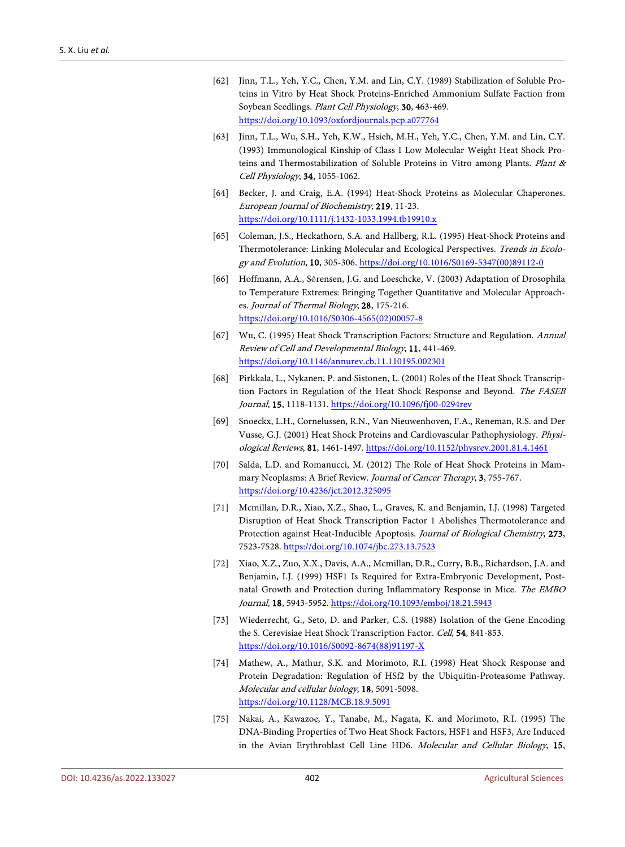- <span id="page-9-0"></span>[62] Jinn, T.L., Yeh, Y.C., Chen, Y.M. and Lin, C.Y. (1989) Stabilization of Soluble Proteins in Vitro by Heat Shock Proteins-Enriched Ammonium Sulfate Faction from Soybean Seedlings. Plant Cell Physiology, 30, 463-469. <https://doi.org/10.1093/oxfordjournals.pcp.a077764>
- <span id="page-9-1"></span>[63] Jinn, T.L., Wu, S.H., Yeh, K.W., Hsieh, M.H., Yeh, Y.C., Chen, Y.M. and Lin, C.Y. (1993) Immunological Kinship of Class I Low Molecular Weight Heat Shock Proteins and Thermostabilization of Soluble Proteins in Vitro among Plants. Plant & Cell Physiology, 34, 1055-1062.
- <span id="page-9-2"></span>[64] Becker, J. and Craig, E.A. (1994) Heat-Shock Proteins as Molecular Chaperones. European Journal of Biochemistry, 219, 11-23. <https://doi.org/10.1111/j.1432-1033.1994.tb19910.x>
- <span id="page-9-3"></span>[65] Coleman, J.S., Heckathorn, S.A. and Hallberg, R.L. (1995) Heat-Shock Proteins and Thermotolerance: Linking Molecular and Ecological Perspectives. Trends in Ecology and Evolution, 10, 305-306. [https://doi.org/10.1016/S0169-5347\(00\)89112-0](https://doi.org/10.1016/S0169-5347(00)89112-0)
- <span id="page-9-4"></span>[66] Hoffmann, A.A., Sǿrensen, J.G. and Loeschcke, V. (2003) Adaptation of Drosophila to Temperature Extremes: Bringing Together Quantitative and Molecular Approaches. Journal of Thermal Biology, 28, 175-216. [https://doi.org/10.1016/S0306-4565\(02\)00057-8](https://doi.org/10.1016/S0306-4565(02)00057-8)
- <span id="page-9-5"></span>[67] Wu, C. (1995) Heat Shock Transcription Factors: Structure and Regulation. Annual Review of Cell and Developmental Biology, 11, 441-469. <https://doi.org/10.1146/annurev.cb.11.110195.002301>
- <span id="page-9-6"></span>[68] Pirkkala, L., Nykanen, P. and Sistonen, L. (2001) Roles of the Heat Shock Transcription Factors in Regulation of the Heat Shock Response and Beyond. The FASEB Journal, 15, 1118-1131. <https://doi.org/10.1096/fj00-0294rev>
- <span id="page-9-7"></span>[69] Snoeckx, L.H., Cornelussen, R.N., Van Nieuwenhoven, F.A., Reneman, R.S. and Der Vusse, G.J. (2001) Heat Shock Proteins and Cardiovascular Pathophysiology. Physiological Reviews, 81, 1461-1497. <https://doi.org/10.1152/physrev.2001.81.4.1461>
- <span id="page-9-8"></span>[70] Salda, L.D. and Romanucci, M. (2012) The Role of Heat Shock Proteins in Mammary Neoplasms: A Brief Review. Journal of Cancer Therapy, 3, 755-767. <https://doi.org/10.4236/jct.2012.325095>
- <span id="page-9-9"></span>[71] Mcmillan, D.R., Xiao, X.Z., Shao, L., Graves, K. and Benjamin, I.J. (1998) Targeted Disruption of Heat Shock Transcription Factor 1 Abolishes Thermotolerance and Protection against Heat-Inducible Apoptosis. Journal of Biological Chemistry, 273, 7523-7528. <https://doi.org/10.1074/jbc.273.13.7523>
- <span id="page-9-10"></span>[72] Xiao, X.Z., Zuo, X.X., Davis, A.A., Mcmillan, D.R., Curry, B.B., Richardson, J.A. and Benjamin, I.J. (1999) HSF1 Is Required for Extra-Embryonic Development, Postnatal Growth and Protection during Inflammatory Response in Mice. The EMBO Journal, 18, 5943-5952. <https://doi.org/10.1093/emboj/18.21.5943>
- <span id="page-9-11"></span>[73] Wiederrecht, G., Seto, D. and Parker, C.S. (1988) Isolation of the Gene Encoding the S. Cerevisiae Heat Shock Transcription Factor. Cell, 54, 841-853. [https://doi.org/10.1016/S0092-8674\(88\)91197-X](https://doi.org/10.1016/S0092-8674(88)91197-X)
- <span id="page-9-12"></span>[74] Mathew, A., Mathur, S.K. and Morimoto, R.I. (1998) Heat Shock Response and Protein Degradation: Regulation of HSf2 by the Ubiquitin-Proteasome Pathway. Molecular and cellular biology, 18, 5091-5098. <https://doi.org/10.1128/MCB.18.9.5091>
- <span id="page-9-13"></span>[75] Nakai, A., Kawazoe, Y., Tanabe, M., Nagata, K. and Morimoto, R.I. (1995) The DNA-Binding Properties of Two Heat Shock Factors, HSF1 and HSF3, Are Induced in the Avian Erythroblast Cell Line HD6. Molecular and Cellular Biology, 15,